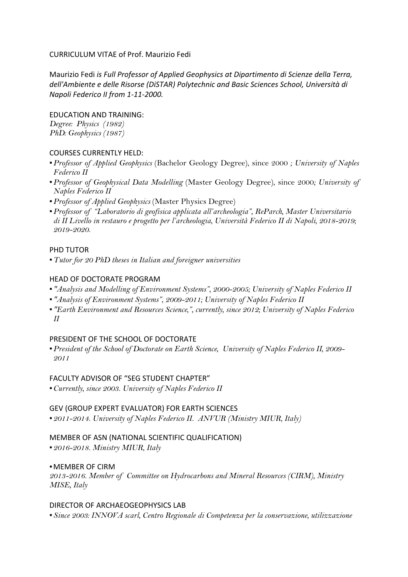### CURRICULUM VITAE of Prof. Maurizio Fedi

Maurizio Fedi *is Full Professor of Applied Geophysics at Dipartimento di Scienze della Terra,* dell'Ambiente e delle Risorse (DiSTAR) Polytechnic and Basic Sciences School, Università di *Napoli Federico II from 1-11-2000.*

#### **EDUCATION AND TRAINING:**

*Degree: Physics (1982) PhD: Geophysics (1987)*

### **COURSES CURRENTLY HELD:**

- ▪*Professor of Applied Geophysics* (Bachelor Geology Degree), since 2000 *; University of Naples Federico II*
- ▪*Professor of Geophysical Data Modelling* (Master Geology Degree), since 2000*; University of Naples Federico II*
- ▪*Professor of Applied Geophysics* (Master Physics Degree)
- ▪*Professor of "Laboratorio di geofisica applicata all'archeologia", ReParch, Master Universitario di II Livello in restauro e progetto per l'archeologia, Università Federico II di Napoli, 2018-2019; 2019-2020.*

### PHD TUTOR

▪*Tutor for 20 PhD theses in Italian and foreigner universities*

### HEAD OF DOCTORATE PROGRAM

- *"Analysis and Modelling of Environment Systems", 2000-2005; University of Naples Federico II*
- *"Analysis of Environment Systems", 2009-2011; University of Naples Federico II*
- *"Earth Environment and Resources Science,", currently, since 2012; University of Naples Federico II*

## PRESIDENT OF THE SCHOOL OF DOCTORATE

▪*President of the School of Doctorate on Earth Science, University of Naples Federico II, 2009- 2011*

#### FACULTY ADVISOR OF "SEG STUDENT CHAPTER"

▪*Currently, since 2003. University of Naples Federico II*

## GEV (GROUP EXPERT EVALUATOR) FOR EARTH SCIENCES

▪*2011-2014. University of Naples Federico II. ANVUR (Ministry MIUR, Italy)*

# MEMBER OF ASN (NATIONAL SCIENTIFIC QUALIFICATION)

▪*2016-2018. Ministry MIUR, Italy*

#### ▪MEMBER OF CIRM

*2013-2016. Member of Committee on Hydrocarbons and Mineral Resources (CIRM), Ministry MISE, Italy*

#### DIRECTOR OF ARCHAEOGEOPHYSICS LAB

▪*Since 2003: INNOVA scarl, Centro Regionale di Competenza per la conservazione, utilizzazione*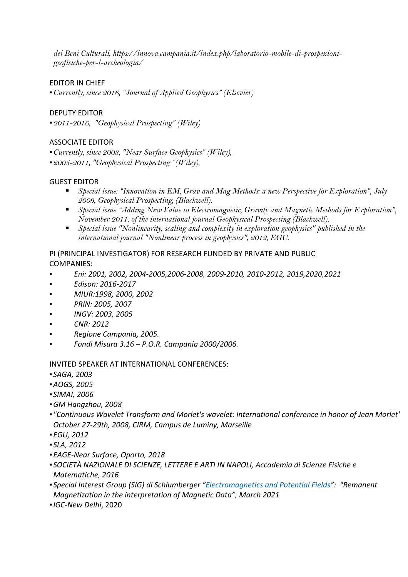*dei Beni Culturali, https://innova.campania.it/index.php/laboratorio-mobile-di-prospezionigeofisiche-per-l-archeologia/*

## EDITOR IN CHIEF

▪*Currently, since 2016, "Journal of Applied Geophysics" (Elsevier)* 

## DEPUTY EDITOR

▪*2011-2016, "Geophysical Prospecting" (Wiley)*

### **ASSOCIATE EDITOR**

▪*Currently, since 2003, "Near Surface Geophysics" (Wiley),* ▪*2005-2011, "Geophysical Prospecting "(Wiley),*

### **GUEST EDITOR**

- § *Special issue: "Innovation in EM, Grav and Mag Methods: a new Perspective for Exploration", July 2009, Geophysical Prospecting, (Blackwell).*
- § *Special issue "Adding New Value to Electromagnetic, Gravity and Magnetic Methods for Exploration", November 2011, of the international journal Geophysical Prospecting (Blackwell).*
- § *Special issue "Nonlinearity, scaling and complexity in exploration geophysics" published in the international journal "Nonlinear process in geophysics", 2012, EGU.*

## PI (PRINCIPAL INVESTIGATOR) FOR RESEARCH FUNDED BY PRIVATE AND PUBLIC COMPANIES:

- *Eni: 2001, 2002, 2004-2005,2006-2008, 2009-2010, 2010-2012, 2019,2020,2021*
- *▪ Edison: 2016-2017*
- *▪ MIUR:1998, 2000, 2002*
- *▪ PRIN: 2005, 2007*
- *▪ INGV: 2003, 2005*
- *▪ CNR: 2012*
- *▪ Regione Campania, 2005.*
- *▪ Fondi Misura 3.16 – P.O.R. Campania 2000/2006.*

#### INVITED SPEAKER AT INTERNATIONAL CONFERENCES:

- *SAGA, 2003*
- ▪*AOGS, 2005*
- *SIMAI, 2006*
- ▪*GM Hangzhou, 2008*
- *"Continuous Wavelet Transform and Morlet's wavelet: International conference in honor of Jean Morlet", October 27-29th, 2008, CIRM, Campus de Luminy, Marseille*
- ▪*EGU, 2012*
- *SLA, 2012*
- ▪*EAGE-Near Surface, Oporto, 2018*
- **SOCIETÀ NAZIONALE DI SCIENZE, LETTERE E ARTI IN NAPOLI, Accademia di Scienze Fisiche e** *Matematiche, 2016*
- **Special Interest Group (SIG) di Schlumberger "Electromagnetics and Potential Fields": "Remanent** *Magnetization in the interpretation of Magnetic Data", March 2021*
- ▪*IGC-New Delhi*, 2020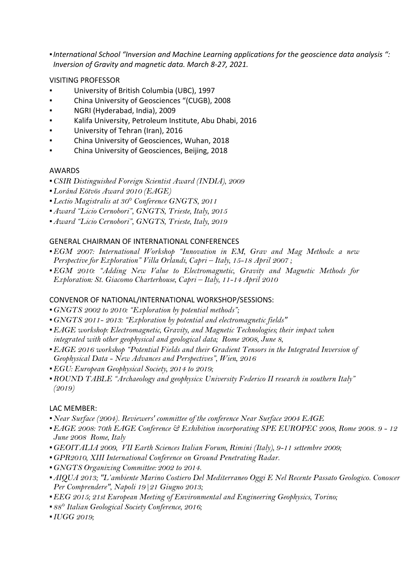**•International School "Inversion and Machine Learning applications for the geoscience data analysis ":** *Inversion of Gravity and magnetic data. March 8-27, 2021.*

## VISITING PROFESSOR

- University of British Columbia (UBC), 1997
- China University of Geosciences "(CUGB), 2008
- NGRI (Hyderabad, India), 2009
- Kalifa University, Petroleum Institute, Abu Dhabi, 2016
- University of Tehran (Iran), 2016
- China University of Geosciences, Wuhan, 2018
- China University of Geosciences, Beijing, 2018

#### AWARDS

- ▪*CSIR Distinguished Foreign Scientist Award (INDIA), 2009*
- ▪*Loránd Eötvös Award 2010 (EAGE)*
- ▪*Lectio Magistralis at 30° Conference GNGTS, 2011*
- ▪*Award "Licio Cernobori", GNGTS, Trieste, Italy, 2015*
- ▪*Award "Licio Cernobori", GNGTS, Trieste, Italy, 2019*

### **GENERAL CHAIRMAN OF INTERNATIONAL CONFERENCES**

- ▪*EGM 2007: International Workshop "Innovation in EM, Grav and Mag Methods: a new Perspective for Exploration" Villa Orlandi, Capri – Italy, 15-18 April 2007 ;*
- ▪*EGM 2010: "Adding New Value to Electromagnetic, Gravity and Magnetic Methods for Exploration: St. Giacomo Charterhouse, Capri – Italy, 11-14 April 2010*

#### CONVENOR OF NATIONAL/INTERNATIONAL WORKSHOP/SESSIONS:

- ▪*GNGTS 2002 to 2010: "Exploration by potential methods";*
- ▪*GNGTS 2011- 2013: "Exploration by potential and electromagnetic fields"*
- ▪*EAGE workshop: Electromagnetic, Gravity, and Magnetic Technologies; their impact when integrated with other geophysical and geological data; Rome 2008, June 8,*
- **•** *EAGE 2016 workshop "Potential Fields and their Gradient Tensors in the Integrated Inversion of Geophysical Data - New Advances and Perspectives", Wien, 2016*
- ▪*EGU: European Geophysical Society, 2014 to 2019;*
- ▪*ROUND TABLE "Archaeology and geophysics: University Federico II research in southern Italy" (2019)*

## LAC MEMBER:

- ▪*Near Surface (2004). Reviewers' committee of the conference Near Surface 2004 EAGE*
- ▪*EAGE 2008: 70th EAGE Conference & Exhibition incorporating SPE EUROPEC 2008, Rome 2008. 9 - 12 June 2008 Rome, Italy*
- ▪*GEOITALIA 2009, VII Earth Sciences Italian Forum, Rimini (Italy), 9-11 settembre 2009;*
- ▪*GPR2010, XIII International Conference on Ground Penetrating Radar.*
- ▪*GNGTS Organizing Committee: 2002 to 2014.*
- ▪*AIQUA 2013; "L'ambiente Marino Costiero Del Mediterraneo Oggi E Nel Recente Passato Geologico. Conoscere Per Comprendere", Napoli 19|21 Giugno 2013;*
- **EEG** 2015; 21st European Meeting of Environmental and Engineering Geophysics, Torino;
- ▪*88° Italian Geological Society Conference, 2016;*
- ▪*IUGG 2019;*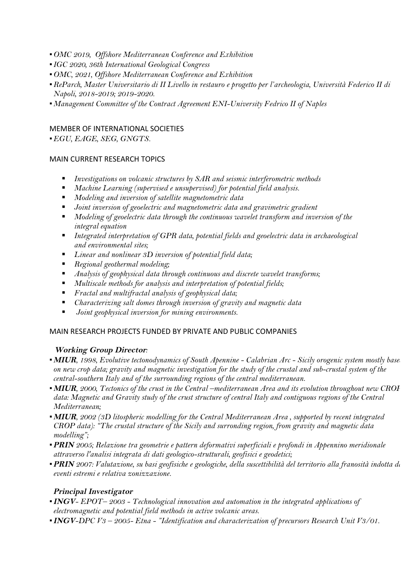- ▪*OMC 2019, Offshore Mediterranean Conference and Exhibition*
- ▪*IGC 2020, 36th International Geological Congress*
- ▪*OMC, 2021, Offshore Mediterranean Conference and Exhibition*
- ▪*ReParch, Master Universitario di II Livello in restauro e progetto per l'archeologia, Università Federico II di Napoli, 2018-2019; 2019-2020.*
- ▪*Management Committee of the Contract Agreement ENI-University Fedrico II of Naples*

## MEMBER OF INTERNATIONAL SOCIETIES

▪*EGU, EAGE, SEG, GNGTS.*

### MAIN CURRENT RESEARCH TOPICS

- *Investigations on volcanic structures by SAR and seismic interferometric methods*
- § *Machine Learning (supervised e unsupervised) for potential field analysis.*
- § *Modeling and inversion of satellite magnetometric data*
- § *Joint inversion of geoelectric and magnetometric data and gravimetric gradient*
- Modeling of geoelectric data through the continuous wavelet transform and inversion of the *integral equation*
- *Integrated interpretation of GPR data, potential fields and geoelectric data in archaeological and environmental sites;*
- § *Linear and nonlinear 3D inversion of potential field data;*
- § *Regional geothermal modeling;*
- *Analysis of geophysical data through continuous and discrete wavelet transforms*;
- § *Multiscale methods for analysis and interpretation of potential fields;*
- § *Fractal and multifractal analysis of geophysical data;*
- § *Characterizing salt domes through inversion of gravity and magnetic data*
- § *Joint geophysical inversion for mining environments.*

## MAIN RESEARCH PROJECTS FUNDED BY PRIVATE AND PUBLIC COMPANIES

## **Working Group Director***:*

- ▪**MIUR***, 1998, Evolutive tectonodynamics of South Apennine - Calabrian Arc - Sicily orogenic system mostly based on new crop data; gravity and magnetic investigation for the study of the crustal and sub-crustal system of the central-southern Italy and of the surrounding regions of the central mediterranean.*
- ▪**MIUR***, 2000, Tectonics of the crust in the Central –mediterranean Area and its evolution throughout new CROP data: Magnetic and Gravity study of the crust structure of central Italy and contiguous regions of the Central Mediterranean;*
- ▪**MIUR***, 2002 (3D litospheric modelling for the Central Mediterranean Area , supported by recent integrated CROP data): "The crustal structure of the Sicily and surronding region, from gravity and magnetic data modelling";*
- ▪**PRIN** *2005; Relazione tra geometrie e pattern deformativi superficiali e profondi in Appennino meridionale attraverso l'analisi integrata di dati geologico-strutturali, geofisici e geodetici;*
- ▪**PRIN** *2007: Valutazione, su basi geofisiche e geologiche, della suscettibilità del territorio alla franosità indotta da eventi estremi e relativa zonizzazione.*

## **Principal Investigator**

- ▪**INGV***- EPOT– 2003 - Technological innovation and automation in the integrated applications of electromagnetic and potential field methods in active volcanic areas.*
- ▪**INGV***-DPC V3 – 2005- Etna - "Identification and characterization of precursors Research Unit V3/01.*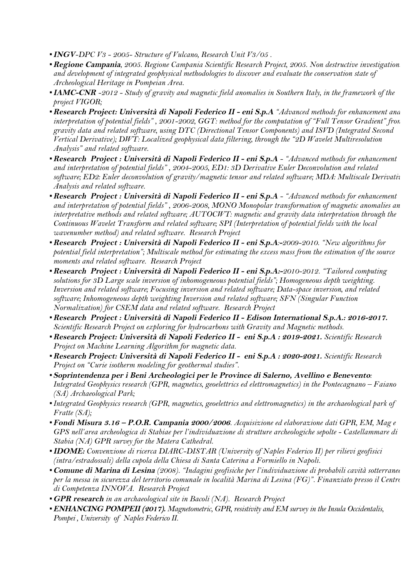- ▪**INGV***-DPC V3 - 2005- Structure of Vulcano, Research Unit V3/05 .*
- **Regione Campania**, 2005. Regione Campania Scientific Research Project, 2005. Non destructive investigation *and development of integrated geophysical methodologies to discover and evaluate the conservation state of Archeological Heritage in Pompeian Area.*
- ▪**IAMC-CNR** *-2012 - Study of gravity and magnetic field anomalies in Southern Italy, in the framework of the project VIGOR;*
- ▪**Research Project: Università di Napoli Federico II - eni S.p.A** *"Advanced methods for enhancement and interpretation of potential fields" , 2001-2002, GGT: method for the computation of "Full Tensor Gradient" from gravity data and related software, using DTC (Directional Tensor Components) and ISVD (Integrated Second Vertical Derivative); DWT: Localized geophysical data filtering, through the "2D Wavelet Multiresolution Analysis" and related software.*
- ▪**Research Project : Università di Napoli Federico II - eni S.p.A** *- "Advanced methods for enhancement and interpretation of potential fields" , 2004-2005, ED1: 3D Derivative Euler Deconvolution and related*  software; ED2: Euler deconvolution of gravity/magnetic tensor and related software; MDA: Multiscale Derivativ *Analysis and related software.*
- ▪**Research Project : Università di Napoli Federico II - eni S.p.A** *- "Advanced methods for enhancement*  and interpretation of potential fields", 2006-2008, MONO Monopolar transformation of magnetic anomalies an *interpretative methods and related software; AUTOCWT: magnetic and gravity data interpretation through the Continuous Wavelet Transform and related software; SPI (Interpretation of potential fields with the local wavenumber method) and related software. Research Project*
- ▪**Research Project : Università di Napoli Federico II - eni S.p.A***:***-***2009-2010. "New algorithms for potential field interpretation"; Multiscale method for estimating the excess mass from the estimation of the source moments and related software. Research Project*
- ▪**Research Project : Università di Napoli Federico II - eni S.p.A:-***2010-2012. "Tailored computing solutions for 3D Large scale inversion of inhomogeneous potential fields"; Homogeneous depth weighting. Inversion and related software; Focusing inversion and related software; Data-space inversion, and related software; Inhomogeneous depth weighting Inversion and related software; SFN (Singular Function Normalization) for CSEM data and related software. Research Project*
- ▪**Research Project : Università di Napoli Federico II - Edison International S.p.A.: 2016-2017.**  *Scientific Research Project on exploring for hydrocarbons with Gravity and Magnetic methods.*
- ▪**Research Project: Università di Napoli Federico II eni S.p.A : 2019-2021.** *Scientific Research Project on Machine Learning Algorithm for magnetic data.*
- ▪**Research Project: Università di Napoli Federico II eni S.p.A : 2020-2021.** *Scientific Research Project on "Curie isotherm modeling for geothermal studies".*
- ▪**Soprintendenza per i Beni Archeologici per le Province di Salerno, Avellino e Benevento***: Integrated Geophysics research (GPR, magnetics, geoelettrics ed elettromagnetics) in the Pontecagnano – Faiano (SA) Archaeological Park;*
- ▪*Integrated Geophysics research (GPR, magnetics, geoelettrics and elettromagnetics) in the archaeological park of Fratte (SA);*
- ▪**Fondi Misura 3.16 – P.O.R. Campania 2000/2006***. Acquisizione ed elaborazione dati GPR, EM, Mag e GPS nell'area archeologica di Stabiae per l'individuazione di strutture archeologiche sepolte - Castellammare di Stabia (NA) GPR survey for the Matera Cathedral.*
- ▪**IDOME:** *Convenzione di ricerca DIARC-DISTAR (University of Naples Federico II) per rilievi geofisici (intra/estradossali) della cupola della Chiesa di Santa Caterina a Formiello in Napoli.*
- ▪**Comune di Marina di Lesina** *(2008). "Indagini geofisiche per l'individuazione di probabili cavità sotterranee per la messa in sicurezza del territorio comunale in località Marina di Lesina (FG)". Finanziato presso il Centro di Competenza INNOVA. Research Project*
- ▪**GPR research** *in an archaeological site in Bacoli (NA). Research Project*
- **ENHANCING POMPEII (2017).** *Magnetometric, GPR, resistivity and EM survey in the Insula Occidentalis, Pompei , University of Naples Federico II.*